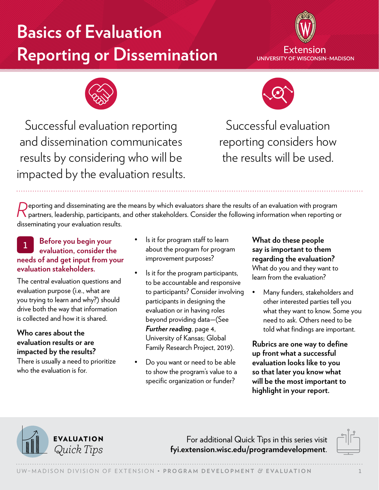# **Basics of Evaluation Reporting or Dissemination**





Successful evaluation reporting and dissemination communicates results by considering who will be impacted by the evaluation results.



Successful evaluation reporting considers how the results will be used.

Peporting and disseminating are the means by which evaluators share the results of an evaluation with program<br>Popartners, leadership, participants, and other stakeholders. Consider the following information when reporting disseminating your evaluation results.

# <sup>1</sup> **Before you begin your evaluation, consider the needs of and get input from your evaluation stakeholders.**

The central evaluation questions and evaluation purpose (i.e., what are you trying to learn and why?) should drive both the way that information is collected and how it is shared.

#### **Who cares about the evaluation results or are impacted by the results?**

There is usually a need to prioritize who the evaluation is for.

- Is it for program staff to learn about the program for program improvement purposes?
- Is it for the program participants, to be accountable and responsive to participants? Consider involving participants in designing the evaluation or in having roles beyond providing data—[\(See](#page-3-0)  *[Further reading](#page-3-0)*, page 4, [University of Kansas; Global](#page-3-0)  [Family Research Project, 2019](#page-3-0)).
- Do you want or need to be able to show the program's value to a specific organization or funder?

**What do these people say is important to them regarding the evaluation?**  What do you and they want to learn from the evaluation?

• Many funders, stakeholders and other interested parties tell you what they want to know. Some you need to ask. Others need to be told what findings are important.

**Rubrics are one way to define up front what a successful evaluation looks like to you so that later you know what will be the most important to highlight in your report.**



For additional Quick Tips in this series visit *Quick Tips* **[fyi.extension.wisc.edu/programdevelopment](https://fyi.extension.wisc.edu/programdevelopment)**.

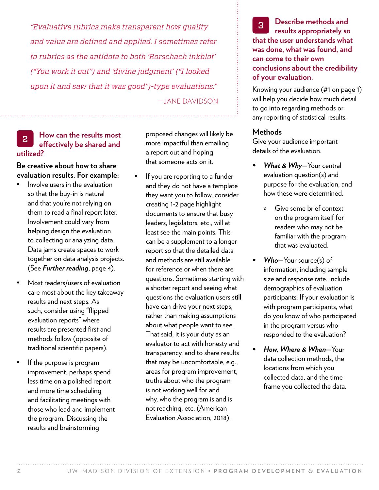*"Evaluative rubrics make transparent how quality and value are defined and applied. I sometimes refer to rubrics as the antidote to both 'Rorschach inkblot' ("You work it out") and 'divine judgment' ("I looked upon it and saw that it was good")-type evaluations."* —JANE DAVIDSON

## <sup>2</sup> **How can the results most effectively be shared and utilized?**

**Be creative about how to share evaluation results. For example:** 

- Involve users in the evaluation so that the buy-in is natural and that you're not relying on them to read a final report later. Involvement could vary from helping design the evaluation to collecting or analyzing data. Data jams create spaces to work together on data analysis projects. (See *[Further reading](#page-3-0)*, page 4).
- Most readers/users of evaluation care most about the key takeaway results and next steps. As such, consider using "flipped evaluation reports" where results are presented first and methods follow (opposite of traditional scientific papers).
- If the purpose is program improvement, perhaps spend less time on a polished report and more time scheduling and facilitating meetings with those who lead and implement the program. Discussing the results and brainstorming

proposed changes will likely be more impactful than emailing a report out and hoping that someone acts on it.

If you are reporting to a funder and they do not have a template they want you to follow, consider creating 1-2 page highlight documents to ensure that busy leaders, legislators, etc., will at least see the main points. This can be a supplement to a longer report so that the detailed data and methods are still available for reference or when there are questions. Sometimes starting with a shorter report and seeing what questions the evaluation users still have can drive your next steps, rather than making assumptions about what people want to see. That said, it is your duty as an evaluator to act with honesty and transparency, and to share results that may be uncomfortable, e.g., areas for program improvement, truths about who the program is not working well for and why, who the program is and is not reaching, etc. (American Evaluation Association, 2018).

<sup>3</sup> **Describe methods and results appropriately so that the user understands what was done, what was found, and can come to their own conclusions about the credibility of your evaluation.**

Knowing your audience (#1 on page 1) will help you decide how much detail to go into regarding methods or any reporting of statistical results.

#### **Methods**

Give your audience important details of the evaluation.

- *• What & Why—*Your central evaluation question(s) and purpose for the evaluation, and how these were determined.
	- » Give some brief context on the program itself for readers who may not be familiar with the program that was evaluated.
- *• Who—*Your source(s) of information, including sample size and response rate. Include demographics of evaluation participants. If your evaluation is with program participants, what do you know of who participated in the program versus who responded to the evaluation?
- *• How, Where & When—*Your data collection methods, the locations from which you collected data, and the time frame you collected the data.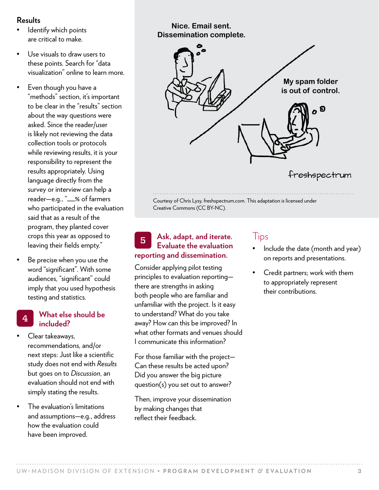#### **Results**

- Identify which points are critical to make.
- Use visuals to draw users to these points. Search for "data visualization" online to learn more.
- Even though you have a "methods" section, it's important to be clear in the "results" section about the way questions were asked. Since the reader/user is likely not reviewing the data collection tools or protocols while reviewing results, it is your responsibility to represent the results appropriately. Using language directly from the survey or interview can help a reader—e.g., "\_\_% of farmers who participated in the evaluation said that as a result of the program, they planted cover crops this year as opposed to leaving their fields empty."
- Be precise when you use the word "significant". With some audiences, "significant" could imply that you used hypothesis testing and statistics.

#### <sup>4</sup> **What else should be included?**

- Clear takeaways, recommendations, and/or next steps: Just like a scientific study does not end with *Results* but goes on to *Discussion*, an evaluation should not end with simply stating the results.
- The evaluation's limitations and assumptions—e.g., address how the evaluation could have been improved.

#### **Nice. Email sent. Dissemination complete.**



Creative Commons (CC BY-NC).

# <sup>5</sup> **Ask, adapt, and iterate. Evaluate the evaluation reporting and dissemination.**

Consider applying pilot testing principles to evaluation reporting there are strengths in asking both people who are familiar and unfamiliar with the project. Is it easy to understand? What do you take away? How can this be improved? In what other formats and venues should I communicate this information?

For those familiar with the project— Can these results be acted upon? Did you answer the big picture question(s) you set out to answer?

Then, improve your dissemination by making changes that reflect their feedback.

# Tips

- Include the date (month and year) on reports and presentations.
- Credit partners; work with them to appropriately represent their contributions.